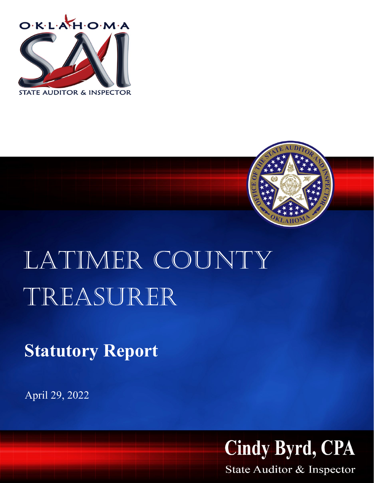



## LATIMER COUNTY Treasurer

**Statutory Report**

April 29, 2022



State Auditor & Inspector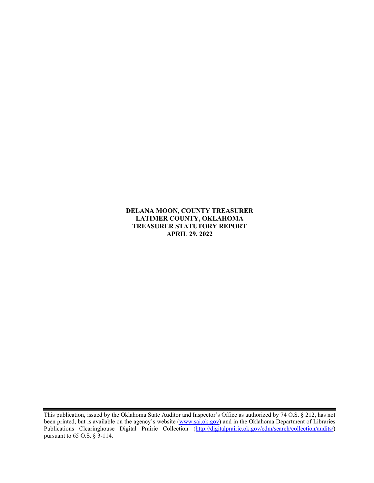**DELANA MOON, COUNTY TREASURER LATIMER COUNTY, OKLAHOMA TREASURER STATUTORY REPORT APRIL 29, 2022**

This publication, issued by the Oklahoma State Auditor and Inspector's Office as authorized by 74 O.S. § 212, has not been printed, but is available on the agency's website [\(www.sai.ok.gov\)](http://www.sai.ok.gov/) and in the Oklahoma Department of Libraries Publications Clearinghouse Digital Prairie Collection [\(http://digitalprairie.ok.gov/cdm/search/collection/audits/\)](http://digitalprairie.ok.gov/cdm/search/collection/audits/) pursuant to 65 O.S. § 3-114.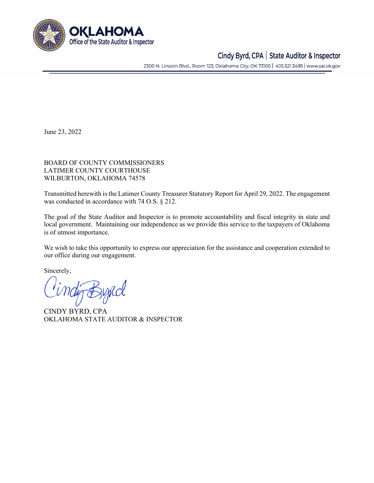

## Cindy Byrd, CPA | State Auditor & Inspector

2300 N. Lincoln Blvd., Room 123, Oklahoma City, OK 73105 | 405.521.3495 | www.sai.ok.gov

June 23, 2022

BOARD OF COUNTY COMMISSIONERS LATIMER COUNTY COURTHOUSE WILBURTON, OKLAHOMA 74578

Transmitted herewith is the Latimer County Treasurer Statutory Report for April 29, 2022. The engagement was conducted in accordance with 74 O.S. § 212.

The goal of the State Auditor and Inspector is to promote accountability and fiscal integrity in state and local government. Maintaining our independence as we provide this service to the taxpayers of Oklahoma is of utmost importance.

We wish to take this opportunity to express our appreciation for the assistance and cooperation extended to our office during our engagement.

Sincerely,

tig Bypcol

CINDY BYRD, CPA OKLAHOMA STATE AUDITOR & INSPECTOR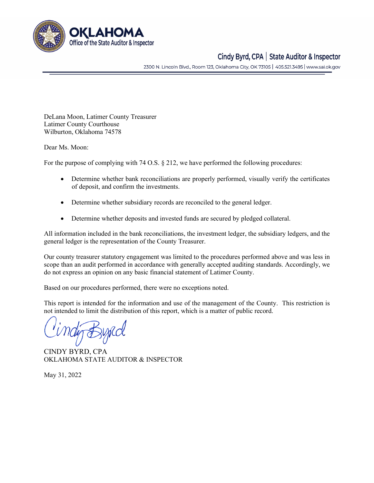

## Cindy Byrd, CPA | State Auditor & Inspector

2300 N. Lincoln Blvd., Room 123, Oklahoma City, OK 73105 | 405.521.3495 | www.sai.ok.gov

DeLana Moon, Latimer County Treasurer Latimer County Courthouse Wilburton, Oklahoma 74578

Dear Ms. Moon:

For the purpose of complying with 74 O.S. § 212, we have performed the following procedures:

- Determine whether bank reconciliations are properly performed, visually verify the certificates of deposit, and confirm the investments.
- Determine whether subsidiary records are reconciled to the general ledger.
- Determine whether deposits and invested funds are secured by pledged collateral.

All information included in the bank reconciliations, the investment ledger, the subsidiary ledgers, and the general ledger is the representation of the County Treasurer.

Our county treasurer statutory engagement was limited to the procedures performed above and was less in scope than an audit performed in accordance with generally accepted auditing standards. Accordingly, we do not express an opinion on any basic financial statement of Latimer County.

Based on our procedures performed, there were no exceptions noted.

This report is intended for the information and use of the management of the County. This restriction is not intended to limit the distribution of this report, which is a matter of public record.

CINDY BYRD, CPA OKLAHOMA STATE AUDITOR & INSPECTOR

May 31, 2022